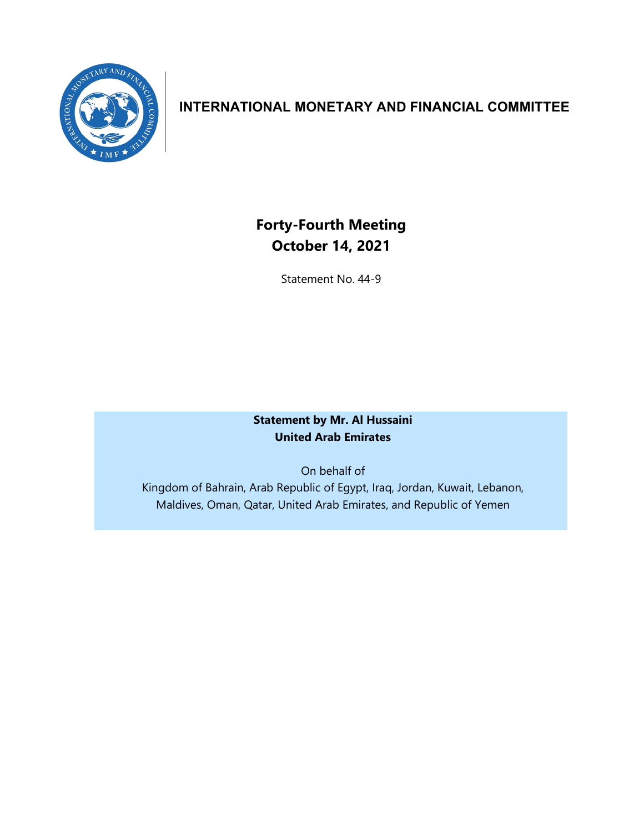

# **INTERNATIONAL MONETARY AND FINANCIAL COMMITTEE**

# **Forty-Fourth Meeting October 14, 2021**

Statement No. 44-9

**Statement by Mr. Al Hussaini United Arab Emirates**

On behalf of Kingdom of Bahrain, Arab Republic of Egypt, Iraq, Jordan, Kuwait, Lebanon, Maldives, Oman, Qatar, United Arab Emirates, and Republic of Yemen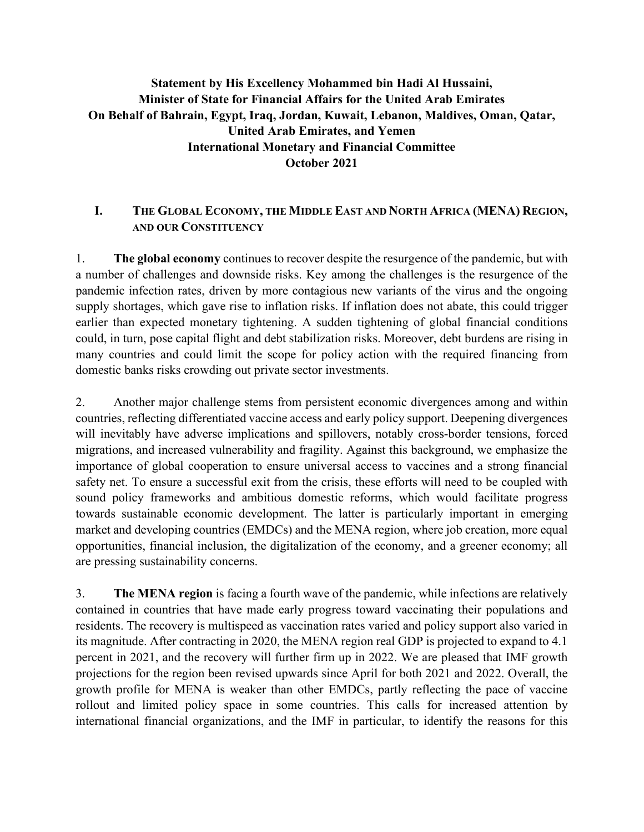## **Statement by His Excellency Mohammed bin Hadi Al Hussaini, Minister of State for Financial Affairs for the United Arab Emirates On Behalf of Bahrain, Egypt, Iraq, Jordan, Kuwait, Lebanon, Maldives, Oman, Qatar, United Arab Emirates, and Yemen International Monetary and Financial Committee October 2021**

### **I. THE GLOBAL ECONOMY, THE MIDDLE EAST AND NORTH AFRICA (MENA) REGION, AND OUR CONSTITUENCY**

1. **The global economy** continues to recover despite the resurgence of the pandemic, but with a number of challenges and downside risks. Key among the challenges is the resurgence of the pandemic infection rates, driven by more contagious new variants of the virus and the ongoing supply shortages, which gave rise to inflation risks. If inflation does not abate, this could trigger earlier than expected monetary tightening. A sudden tightening of global financial conditions could, in turn, pose capital flight and debt stabilization risks. Moreover, debt burdens are rising in many countries and could limit the scope for policy action with the required financing from domestic banks risks crowding out private sector investments.

2. Another major challenge stems from persistent economic divergences among and within countries, reflecting differentiated vaccine access and early policy support. Deepening divergences will inevitably have adverse implications and spillovers, notably cross-border tensions, forced migrations, and increased vulnerability and fragility. Against this background, we emphasize the importance of global cooperation to ensure universal access to vaccines and a strong financial safety net. To ensure a successful exit from the crisis, these efforts will need to be coupled with sound policy frameworks and ambitious domestic reforms, which would facilitate progress towards sustainable economic development. The latter is particularly important in emerging market and developing countries (EMDCs) and the MENA region, where job creation, more equal opportunities, financial inclusion, the digitalization of the economy, and a greener economy; all are pressing sustainability concerns.

3. **The MENA region** is facing a fourth wave of the pandemic, while infections are relatively contained in countries that have made early progress toward vaccinating their populations and residents. The recovery is multispeed as vaccination rates varied and policy support also varied in its magnitude. After contracting in 2020, the MENA region real GDP is projected to expand to 4.1 percent in 2021, and the recovery will further firm up in 2022. We are pleased that IMF growth projections for the region been revised upwards since April for both 2021 and 2022. Overall, the growth profile for MENA is weaker than other EMDCs, partly reflecting the pace of vaccine rollout and limited policy space in some countries. This calls for increased attention by international financial organizations, and the IMF in particular, to identify the reasons for this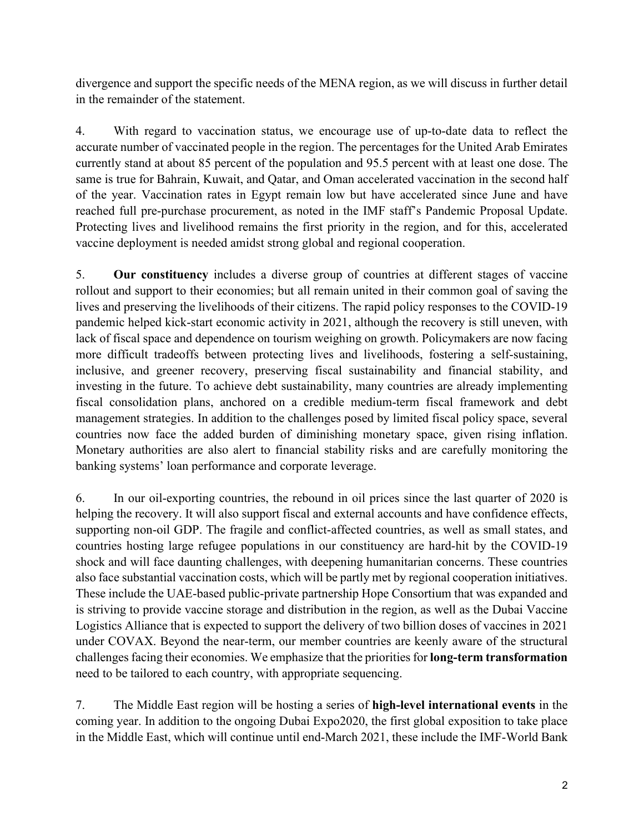divergence and support the specific needs of the MENA region, as we will discuss in further detail in the remainder of the statement.

4. With regard to vaccination status, we encourage use of up-to-date data to reflect the accurate number of vaccinated people in the region. The percentages for the United Arab Emirates currently stand at about 85 percent of the population and 95.5 percent with at least one dose. The same is true for Bahrain, Kuwait, and Qatar, and Oman accelerated vaccination in the second half of the year. Vaccination rates in Egypt remain low but have accelerated since June and have reached full pre-purchase procurement, as noted in the IMF staff's Pandemic Proposal Update. Protecting lives and livelihood remains the first priority in the region, and for this, accelerated vaccine deployment is needed amidst strong global and regional cooperation.

5. **Our constituency** includes a diverse group of countries at different stages of vaccine rollout and support to their economies; but all remain united in their common goal of saving the lives and preserving the livelihoods of their citizens. The rapid policy responses to the COVID-19 pandemic helped kick-start economic activity in 2021, although the recovery is still uneven, with lack of fiscal space and dependence on tourism weighing on growth. Policymakers are now facing more difficult tradeoffs between protecting lives and livelihoods, fostering a self-sustaining, inclusive, and greener recovery, preserving fiscal sustainability and financial stability, and investing in the future. To achieve debt sustainability, many countries are already implementing fiscal consolidation plans, anchored on a credible medium-term fiscal framework and debt management strategies. In addition to the challenges posed by limited fiscal policy space, several countries now face the added burden of diminishing monetary space, given rising inflation. Monetary authorities are also alert to financial stability risks and are carefully monitoring the banking systems' loan performance and corporate leverage.

6. In our oil-exporting countries, the rebound in oil prices since the last quarter of 2020 is helping the recovery. It will also support fiscal and external accounts and have confidence effects, supporting non-oil GDP. The fragile and conflict-affected countries, as well as small states, and countries hosting large refugee populations in our constituency are hard-hit by the COVID-19 shock and will face daunting challenges, with deepening humanitarian concerns. These countries also face substantial vaccination costs, which will be partly met by regional cooperation initiatives. These include the UAE-based public-private partnership Hope Consortium that was expanded and is striving to provide vaccine storage and distribution in the region, as well as the Dubai Vaccine Logistics Alliance that is expected to support the delivery of two billion doses of vaccines in 2021 under COVAX. Beyond the near-term, our member countries are keenly aware of the structural challenges facing their economies. We emphasize that the priorities for **long-term transformation** need to be tailored to each country, with appropriate sequencing.

7. The Middle East region will be hosting a series of **high-level international events** in the coming year. In addition to the ongoing Dubai Expo2020, the first global exposition to take place in the Middle East, which will continue until end-March 2021, these include the IMF-World Bank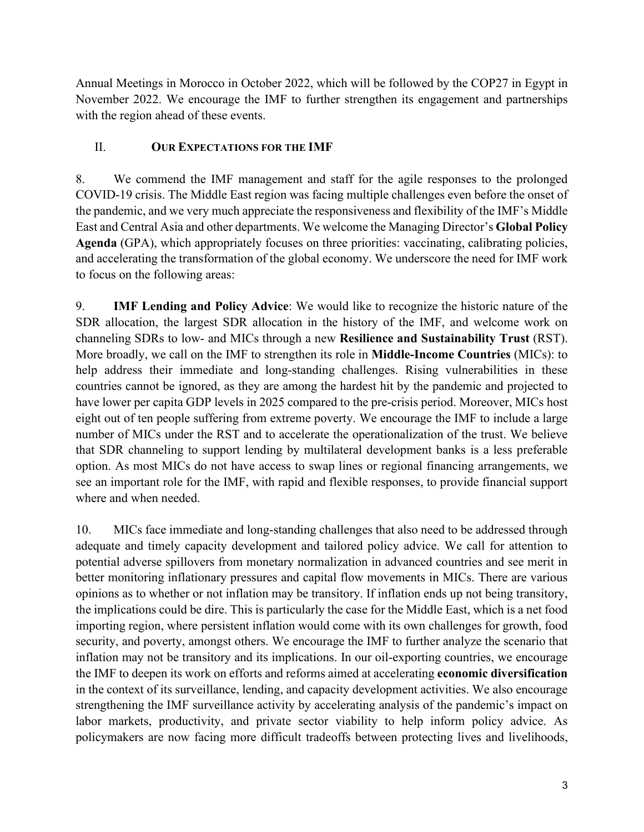Annual Meetings in Morocco in October 2022, which will be followed by the COP27 in Egypt in November 2022. We encourage the IMF to further strengthen its engagement and partnerships with the region ahead of these events.

### II. **OUR EXPECTATIONS FOR THE IMF**

8. We commend the IMF management and staff for the agile responses to the prolonged COVID-19 crisis. The Middle East region was facing multiple challenges even before the onset of the pandemic, and we very much appreciate the responsiveness and flexibility of the IMF's Middle East and Central Asia and other departments. We welcome the Managing Director's **Global Policy Agenda** (GPA), which appropriately focuses on three priorities: vaccinating, calibrating policies, and accelerating the transformation of the global economy. We underscore the need for IMF work to focus on the following areas:

9. **IMF Lending and Policy Advice**: We would like to recognize the historic nature of the SDR allocation, the largest SDR allocation in the history of the IMF, and welcome work on channeling SDRs to low- and MICs through a new **Resilience and Sustainability Trust** (RST). More broadly, we call on the IMF to strengthen its role in **Middle-Income Countries** (MICs): to help address their immediate and long-standing challenges. Rising vulnerabilities in these countries cannot be ignored, as they are among the hardest hit by the pandemic and projected to have lower per capita GDP levels in 2025 compared to the pre-crisis period. Moreover, MICs host eight out of ten people suffering from extreme poverty. We encourage the IMF to include a large number of MICs under the RST and to accelerate the operationalization of the trust. We believe that SDR channeling to support lending by multilateral development banks is a less preferable option. As most MICs do not have access to swap lines or regional financing arrangements, we see an important role for the IMF, with rapid and flexible responses, to provide financial support where and when needed.

10. MICs face immediate and long-standing challenges that also need to be addressed through adequate and timely capacity development and tailored policy advice. We call for attention to potential adverse spillovers from monetary normalization in advanced countries and see merit in better monitoring inflationary pressures and capital flow movements in MICs. There are various opinions as to whether or not inflation may be transitory. If inflation ends up not being transitory, the implications could be dire. This is particularly the case for the Middle East, which is a net food importing region, where persistent inflation would come with its own challenges for growth, food security, and poverty, amongst others. We encourage the IMF to further analyze the scenario that inflation may not be transitory and its implications. In our oil-exporting countries, we encourage the IMF to deepen its work on efforts and reforms aimed at accelerating **economic diversification** in the context of its surveillance, lending, and capacity development activities. We also encourage strengthening the IMF surveillance activity by accelerating analysis of the pandemic's impact on labor markets, productivity, and private sector viability to help inform policy advice. As policymakers are now facing more difficult tradeoffs between protecting lives and livelihoods,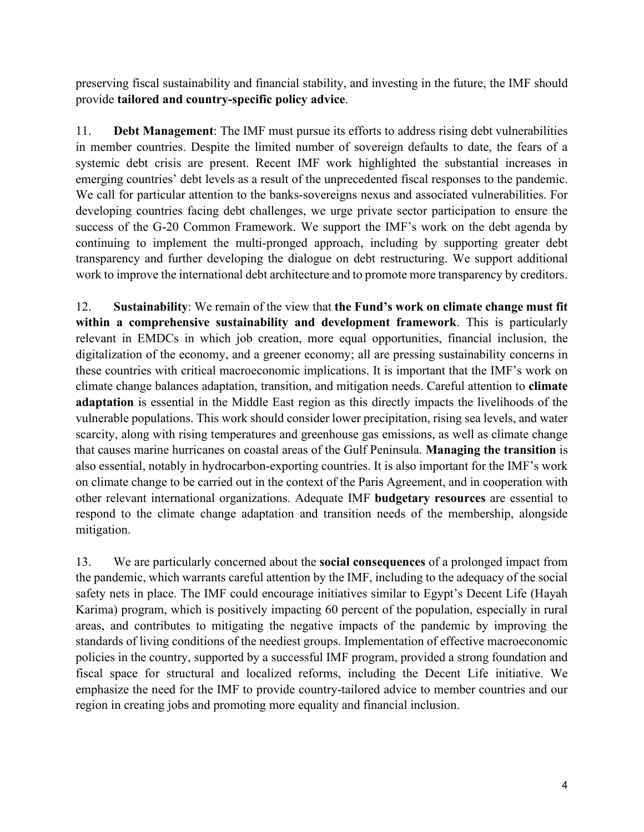preserving fiscal sustainability and financial stability, and investing in the future, the IMF should provide **tailored and country-specific policy advice**.

11. **Debt Management**: The IMF must pursue its efforts to address rising debt vulnerabilities in member countries. Despite the limited number of sovereign defaults to date, the fears of a systemic debt crisis are present. Recent IMF work highlighted the substantial increases in emerging countries' debt levels as a result of the unprecedented fiscal responses to the pandemic. We call for particular attention to the banks-sovereigns nexus and associated vulnerabilities. For developing countries facing debt challenges, we urge private sector participation to ensure the success of the G-20 Common Framework. We support the IMF's work on the debt agenda by continuing to implement the multi-pronged approach, including by supporting greater debt transparency and further developing the dialogue on debt restructuring. We support additional work to improve the international debt architecture and to promote more transparency by creditors.

12. **Sustainability**: We remain of the view that **the Fund's work on climate change must fit within a comprehensive sustainability and development framework**. This is particularly relevant in EMDCs in which job creation, more equal opportunities, financial inclusion, the digitalization of the economy, and a greener economy; all are pressing sustainability concerns in these countries with critical macroeconomic implications. It is important that the IMF's work on climate change balances adaptation, transition, and mitigation needs. Careful attention to **climate adaptation** is essential in the Middle East region as this directly impacts the livelihoods of the vulnerable populations. This work should consider lower precipitation, rising sea levels, and water scarcity, along with rising temperatures and greenhouse gas emissions, as well as climate change that causes marine hurricanes on coastal areas of the Gulf Peninsula. **Managing the transition** is also essential, notably in hydrocarbon-exporting countries. It is also important for the IMF's work on climate change to be carried out in the context of the Paris Agreement, and in cooperation with other relevant international organizations. Adequate IMF **budgetary resources** are essential to respond to the climate change adaptation and transition needs of the membership, alongside mitigation.

13. We are particularly concerned about the **social consequences** of a prolonged impact from the pandemic, which warrants careful attention by the IMF, including to the adequacy of the social safety nets in place. The IMF could encourage initiatives similar to Egypt's Decent Life (Hayah Karima) program, which is positively impacting 60 percent of the population, especially in rural areas, and contributes to mitigating the negative impacts of the pandemic by improving the standards of living conditions of the neediest groups. Implementation of effective macroeconomic policies in the country, supported by a successful IMF program, provided a strong foundation and fiscal space for structural and localized reforms, including the Decent Life initiative. We emphasize the need for the IMF to provide country-tailored advice to member countries and our region in creating jobs and promoting more equality and financial inclusion.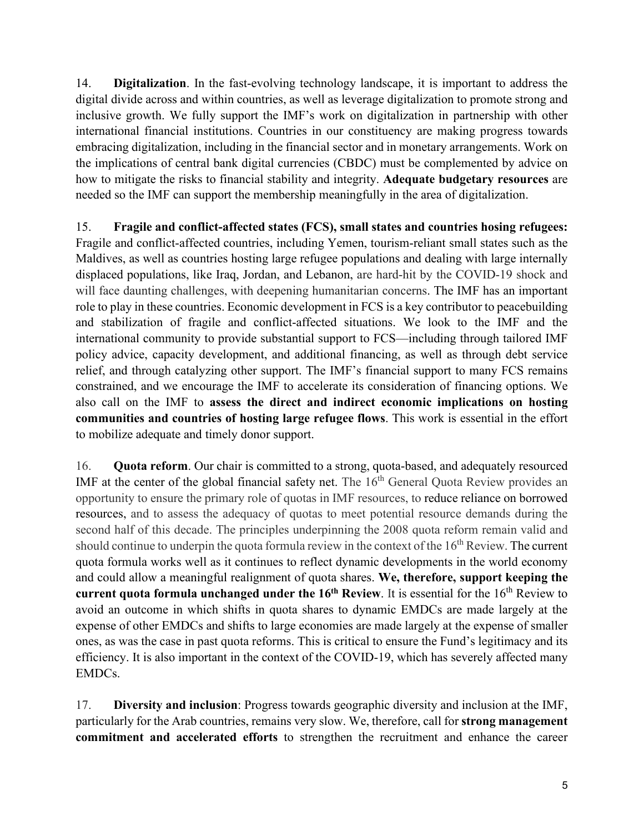14. **Digitalization**. In the fast-evolving technology landscape, it is important to address the digital divide across and within countries, as well as leverage digitalization to promote strong and inclusive growth. We fully support the IMF's work on digitalization in partnership with other international financial institutions. Countries in our constituency are making progress towards embracing digitalization, including in the financial sector and in monetary arrangements. Work on the implications of central bank digital currencies (CBDC) must be complemented by advice on how to mitigate the risks to financial stability and integrity. **Adequate budgetary resources** are needed so the IMF can support the membership meaningfully in the area of digitalization.

15. **Fragile and conflict-affected states (FCS), small states and countries hosing refugees:** Fragile and conflict-affected countries, including Yemen, tourism-reliant small states such as the Maldives, as well as countries hosting large refugee populations and dealing with large internally displaced populations, like Iraq, Jordan, and Lebanon, are hard-hit by the COVID-19 shock and will face daunting challenges, with deepening humanitarian concerns. The IMF has an important role to play in these countries. Economic development in FCS is a key contributor to peacebuilding and stabilization of fragile and conflict-affected situations. We look to the IMF and the international community to provide substantial support to FCS—including through tailored IMF policy advice, capacity development, and additional financing, as well as through debt service relief, and through catalyzing other support. The IMF's financial support to many FCS remains constrained, and we encourage the IMF to accelerate its consideration of financing options. We also call on the IMF to **assess the direct and indirect economic implications on hosting communities and countries of hosting large refugee flows**. This work is essential in the effort to mobilize adequate and timely donor support.

16. **Quota reform**. Our chair is committed to a strong, quota-based, and adequately resourced IMF at the center of the global financial safety net. The  $16<sup>th</sup>$  General Quota Review provides an opportunity to ensure the primary role of quotas in IMF resources, to reduce reliance on borrowed resources, and to assess the adequacy of quotas to meet potential resource demands during the second half of this decade. The principles underpinning the 2008 quota reform remain valid and should continue to underpin the quota formula review in the context of the  $16<sup>th</sup>$  Review. The current quota formula works well as it continues to reflect dynamic developments in the world economy and could allow a meaningful realignment of quota shares. **We, therefore, support keeping the current quota formula unchanged under the 16<sup>th</sup> Review**. It is essential for the 16<sup>th</sup> Review to avoid an outcome in which shifts in quota shares to dynamic EMDCs are made largely at the expense of other EMDCs and shifts to large economies are made largely at the expense of smaller ones, as was the case in past quota reforms. This is critical to ensure the Fund's legitimacy and its efficiency. It is also important in the context of the COVID-19, which has severely affected many EMDCs.

17. **Diversity and inclusion**: Progress towards geographic diversity and inclusion at the IMF, particularly for the Arab countries, remains very slow. We, therefore, call for **strong management commitment and accelerated efforts** to strengthen the recruitment and enhance the career